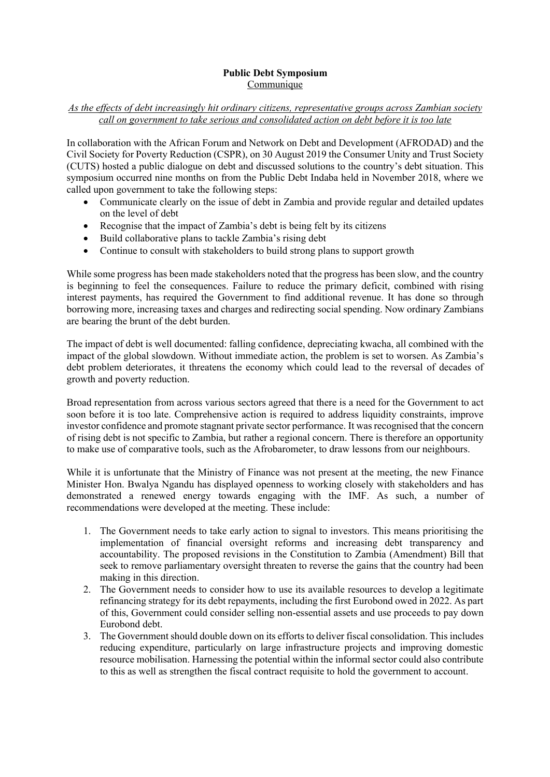## **Public Debt Symposium Communique**

## *As the effects of debt increasingly hit ordinary citizens, representative groups across Zambian society call on government to take serious and consolidated action on debt before it is too late*

In collaboration with the African Forum and Network on Debt and Development (AFRODAD) and the Civil Society for Poverty Reduction (CSPR), on 30 August 2019 the Consumer Unity and Trust Society (CUTS) hosted a public dialogue on debt and discussed solutions to the country's debt situation. This symposium occurred nine months on from the Public Debt Indaba held in November 2018, where we called upon government to take the following steps:

- Communicate clearly on the issue of debt in Zambia and provide regular and detailed updates on the level of debt
- Recognise that the impact of Zambia's debt is being felt by its citizens
- Build collaborative plans to tackle Zambia's rising debt
- Continue to consult with stakeholders to build strong plans to support growth

While some progress has been made stakeholders noted that the progress has been slow, and the country is beginning to feel the consequences. Failure to reduce the primary deficit, combined with rising interest payments, has required the Government to find additional revenue. It has done so through borrowing more, increasing taxes and charges and redirecting social spending. Now ordinary Zambians are bearing the brunt of the debt burden.

The impact of debt is well documented: falling confidence, depreciating kwacha, all combined with the impact of the global slowdown. Without immediate action, the problem is set to worsen. As Zambia's debt problem deteriorates, it threatens the economy which could lead to the reversal of decades of growth and poverty reduction.

Broad representation from across various sectors agreed that there is a need for the Government to act soon before it is too late. Comprehensive action is required to address liquidity constraints, improve investor confidence and promote stagnant private sector performance. It was recognised that the concern of rising debt is not specific to Zambia, but rather a regional concern. There is therefore an opportunity to make use of comparative tools, such as the Afrobarometer, to draw lessons from our neighbours.

While it is unfortunate that the Ministry of Finance was not present at the meeting, the new Finance Minister Hon. Bwalya Ngandu has displayed openness to working closely with stakeholders and has demonstrated a renewed energy towards engaging with the IMF. As such, a number of recommendations were developed at the meeting. These include:

- 1. The Government needs to take early action to signal to investors. This means prioritising the implementation of financial oversight reforms and increasing debt transparency and accountability. The proposed revisions in the Constitution to Zambia (Amendment) Bill that seek to remove parliamentary oversight threaten to reverse the gains that the country had been making in this direction.
- 2. The Government needs to consider how to use its available resources to develop a legitimate refinancing strategy for its debt repayments, including the first Eurobond owed in 2022. As part of this, Government could consider selling non-essential assets and use proceeds to pay down Eurobond debt.
- 3. The Government should double down on its efforts to deliver fiscal consolidation. This includes reducing expenditure, particularly on large infrastructure projects and improving domestic resource mobilisation. Harnessing the potential within the informal sector could also contribute to this as well as strengthen the fiscal contract requisite to hold the government to account.